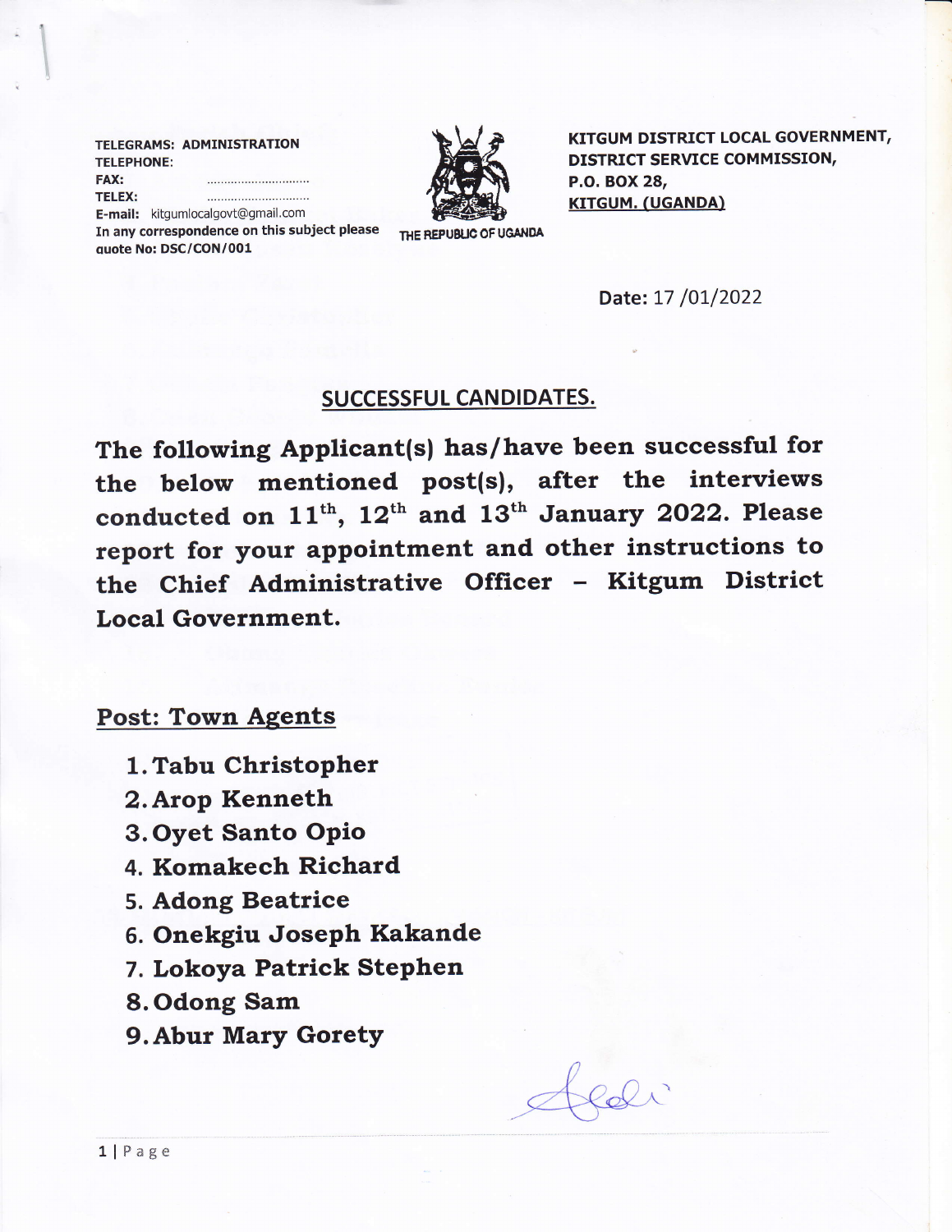|                                              | TELEGRAMS: ADMINISTRATION         |                    |
|----------------------------------------------|-----------------------------------|--------------------|
| <b>TELEPHONE:</b>                            |                                   |                    |
| <b>FAX:</b>                                  |                                   |                    |
| <b>TELEX:</b>                                |                                   |                    |
|                                              | E-mail: kitgumlocalgovt@gmail.com |                    |
| In any correspondence on this subject please |                                   | THE REPUBLIC OF UC |



KITGUM DISTRICT LOCAL GOVERNMENT, DISTRICT SERVICE COMMISSION, P.O. BOX 28, KITGUM. (UGANDA)

E-mail: kitgumlocalgovt@gmail.com In any correspondence on this subject please quote No: DSC/CON/001

Date: 17 /01/2022

## SUCCESSFUL CANDIDATES.

The following Applicant(s) has/have been successful for the below mentioned post(s), after the interviews conducted on  $11<sup>th</sup>$ ,  $12<sup>th</sup>$  and  $13<sup>th</sup>$  January 2022. Please report for your appointment and other instructions to the Chief Administrative Officer - Kitgum District Local Government.

## Post: Town Aqents

- 1. Tabu Christopher
- 2. Arop Kenneth
- 3. Oyet Santo OPio
- 4. Komakech Richard
- 5. Adong Beatrice
- 5. Onekgiu Joseph Kakande
- 7. Lokoya Patrick Stephen
- 8. Odong Sam
- 9. Abur Mary Gorety

llPage